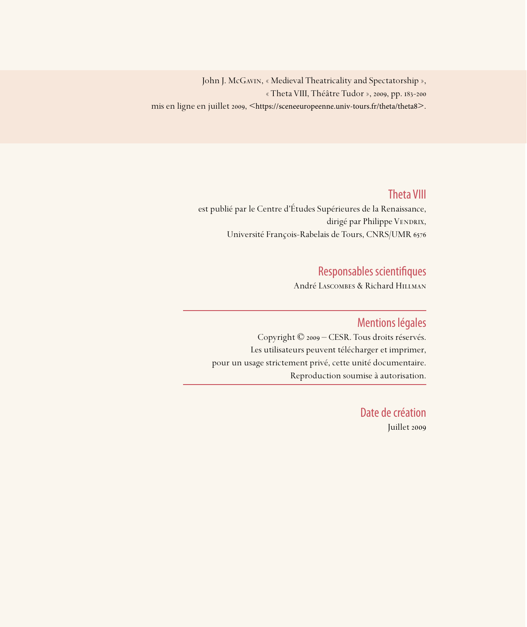John J. McGavin, « Medieval Theatricality and Spectatorship », « Theta VIII, Théâtre Tudor », 2009, pp. 183-200 mis en ligne en juillet 2009, <https://sceneeuropeenne.univ-tours.fr/theta/theta8>.

## Theta VIII

est publié par le Centre d'Études Supérieures de la Renaissance, dirigé par Philippe VENDRIX, Université François-Rabelais de Tours, CNRS/UMR 6576

## Responsables scientifiques

André Lascombes & Richard Hillman

### Mentions légales

Copyright © 2009 – CESR. Tous droits réservés. Les utilisateurs peuvent télécharger et imprimer, pour un usage strictement privé, cette unité documentaire. Reproduction soumise à autorisation.

> Date de création Juillet 2009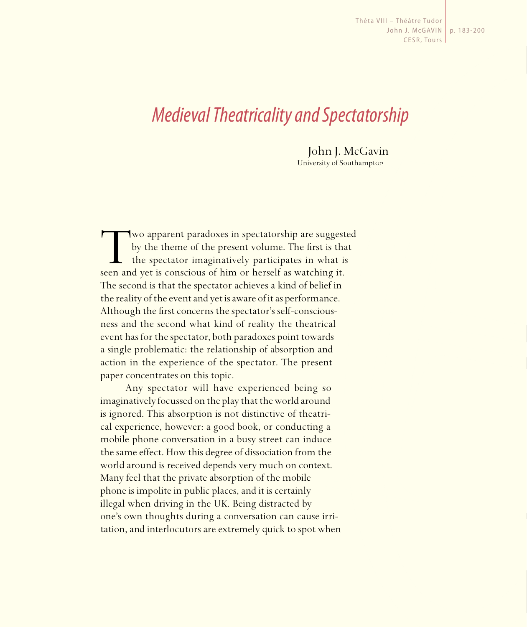Thêta VIII – Théâtre Tudor John J. McGAVIN p. 183-200CESR, Tours

# *Medieval Theatricality and Spectatorship*

John J. McGavin University of Southampton

Two apparent paradoxes in spectatorship are suggested<br>by the theme of the present volume. The first is that<br>the spectator imaginatively participates in what is<br>seen and yet is conscious of him or herself as watching it. by the theme of the present volume. The first is that the spectator imaginatively participates in what is seen and yet is conscious of him or herself as watching it. The second is that the spectator achieves a kind of belief in the reality of the event and yet is aware of it as performance. Although the first concerns the spectator's self-consciousness and the second what kind of reality the theatrical event has for the spectator, both paradoxes point towards a single problematic: the relationship of absorption and action in the experience of the spectator. The present paper concentrates on this topic.

Any spectator will have experienced being so imaginatively focussed on the play that the world around is ignored. This absorption is not distinctive of theatrical experience, however: a good book, or conducting a mobile phone conversation in a busy street can induce the same effect. How this degree of dissociation from the world around is received depends very much on context. Many feel that the private absorption of the mobile phone is impolite in public places, and it is certainly illegal when driving in the UK. Being distracted by one's own thoughts during a conversation can cause irritation, and interlocutors are extremely quick to spot when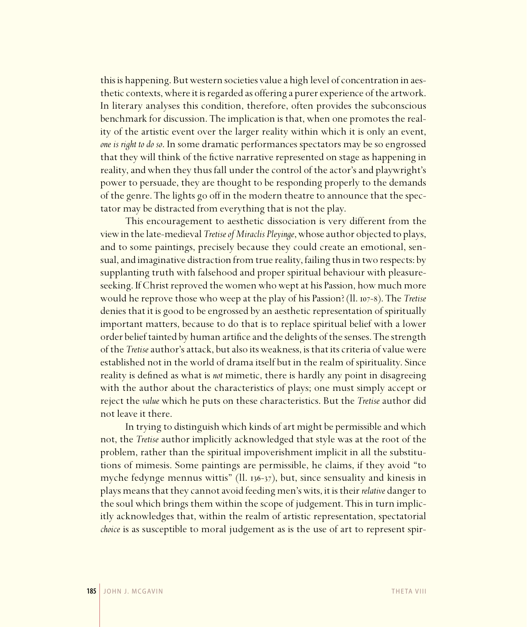this is happening. But western societies value a high level of concentration in aesthetic contexts, where it is regarded as offering a purer experience of the artwork. In literary analyses this condition, therefore, often provides the subconscious benchmark for discussion. The implication is that, when one promotes the reality of the artistic event over the larger reality within which it is only an event, *one is right to do so*. In some dramatic performances spectators may be so engrossed that they will think of the fictive narrative represented on stage as happening in reality, and when they thus fall under the control of the actor's and playwright's power to persuade, they are thought to be responding properly to the demands of the genre. The lights go off in the modern theatre to announce that the spectator may be distracted from everything that is not the play.

This encouragement to aesthetic dissociation is very different from the view in the late-medieval *Tretise of Miraclis Pleyinge*, whose author objected to plays, and to some paintings, precisely because they could create an emotional, sensual, and imaginative distraction from true reality, failing thus in two respects: by supplanting truth with falsehood and proper spiritual behaviour with pleasureseeking. If Christ reproved the women who wept at his Passion, how much more would he reprove those who weep at the play of his Passion? (ll. 107-8). The *Tretise* denies that it is good to be engrossed by an aesthetic representation of spiritually important matters, because to do that is to replace spiritual belief with a lower order belief tainted by human artifice and the delights of the senses. The strength of the *Tretise* author's attack, but also its weakness, is that its criteria of value were established not in the world of drama itself but in the realm of spirituality. Since reality is defined as what is *not* mimetic, there is hardly any point in disagreeing with the author about the characteristics of plays; one must simply accept or reject the *value* which he puts on these characteristics. But the *Tretise* author did not leave it there.

In trying to distinguish which kinds of art might be permissible and which not, the *Tretise* author implicitly acknowledged that style was at the root of the problem, rather than the spiritual impoverishment implicit in all the substitutions of mimesis. Some paintings are permissible, he claims, if they avoid "to myche fedynge mennus wittis" (ll. 136-37), but, since sensuality and kinesis in plays means that they cannot avoid feeding men's wits, it is their *relative* danger to the soul which brings them within the scope of judgement. This in turn implicitly acknowledges that, within the realm of artistic representation, spectatorial *choice* is as susceptible to moral judgement as is the use of art to represent spir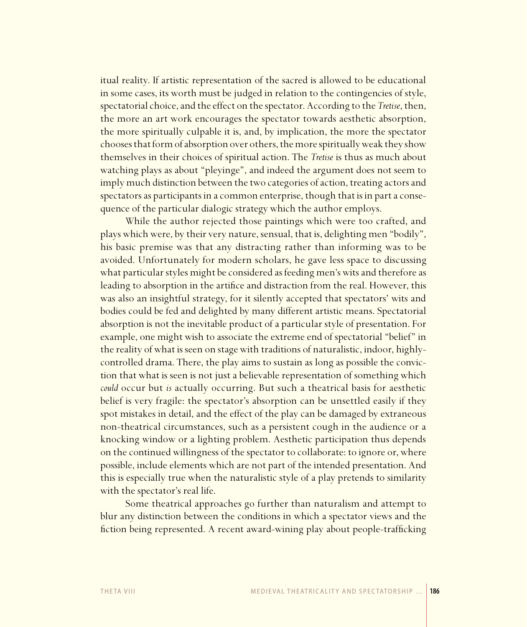itual reality. If artistic representation of the sacred is allowed to be educational in some cases, its worth must be judged in relation to the contingencies of style, spectatorial choice, and the effect on the spectator. According to the Tretise, then, the more an art work encourages the spectator towards aesthetic absorption, the more spiritually culpable it is, and, by implication, the more the spectator chooses that form of absorption over others, the more spiritually weak they show themselves in their choices of spiritual action. The *Tretise* is thus as much about watching plays as about "pleyinge", and indeed the argument does not seem to imply much distinction between the two categories of action, treating actors and spectators as participants in a common enterprise, though that is in part a consequence of the particular dialogic strategy which the author employs.

While the author rejected those paintings which were too crafted, and plays which were, by their very nature, sensual, that is, delighting men "bodily", his basic premise was that any distracting rather than informing was to be avoided. Unfortunately for modern scholars, he gave less space to discussing what particular styles might be considered as feeding men's wits and therefore as leading to absorption in the artifice and distraction from the real. However, this was also an insightful strategy, for it silently accepted that spectators' wits and bodies could be fed and delighted by many different artistic means. Spectatorial absorption is not the inevitable product of a particular style of presentation. For example, one might wish to associate the extreme end of spectatorial "belief" in the reality of what is seen on stage with traditions of naturalistic, indoor, highlycontrolled drama. There, the play aims to sustain as long as possible the conviction that what is seen is not just a believable representation of something which could occur but is actually occurring. But such a theatrical basis for aesthetic belief is very fragile: the spectator's absorption can be unsettled easily if they spot mistakes in detail, and the effect of the play can be damaged by extraneous non-theatrical circumstances, such as a persistent cough in the audience or a knocking window or a lighting problem. Aesthetic participation thus depends on the continued willingness of the spectator to collaborate: to ignore or, where possible, include elements which are not part of the intended presentation. And this is especially true when the naturalistic style of a play pretends to similarity with the spectator's real life.

Some theatrical approaches go further than naturalism and attempt to blur any distinction between the conditions in which a spectator views and the fiction being represented. A recent award-wining play about people-trafficking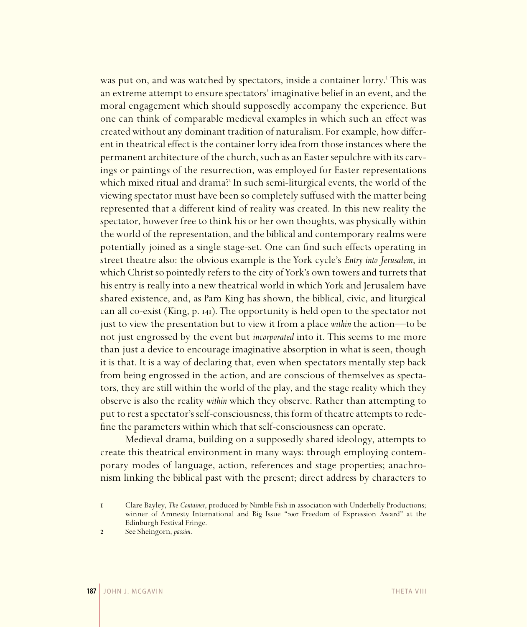was put on, and was watched by spectators, inside a container lorry.<sup>1</sup> This was an extreme attempt to ensure spectators' imaginative belief in an event, and the moral engagement which should supposedly accompany the experience. But one can think of comparable medieval examples in which such an effect was created without any dominant tradition of naturalism. For example, how different in theatrical effect is the container lorry idea from those instances where the permanent architecture of the church, such as an Easter sepulchre with its carvings or paintings of the resurrection, was employed for Easter representations which mixed ritual and drama?<sup>2</sup> In such semi-liturgical events, the world of the viewing spectator must have been so completely suffused with the matter being represented that a different kind of reality was created. In this new reality the spectator, however free to think his or her own thoughts, was physically within the world of the representation, and the biblical and contemporary realms were potentially joined as a single stage-set. One can find such effects operating in street theatre also: the obvious example is the York cycle's *Entry into Jerusalem*, in which Christ so pointedly refers to the city of York's own towers and turrets that his entry is really into a new theatrical world in which York and Jerusalem have shared existence, and, as Pam King has shown, the biblical, civic, and liturgical can all co-exist (King, p. 141). The opportunity is held open to the spectator not just to view the presentation but to view it from a place *within* the action—to be not just engrossed by the event but *incorporated* into it. This seems to me more than just a device to encourage imaginative absorption in what is seen, though it is that. It is a way of declaring that, even when spectators mentally step back from being engrossed in the action, and are conscious of themselves as spectators, they are still within the world of the play, and the stage reality which they observe is also the reality *within* which they observe. Rather than attempting to put to rest a spectator's self-consciousness, this form of theatre attempts to redefine the parameters within which that self-consciousness can operate.

Medieval drama, building on a supposedly shared ideology, attempts to create this theatrical environment in many ways: through employing contemporary modes of language, action, references and stage properties; anachronism linking the biblical past with the present; direct address by characters to

<sup>1</sup> Clare Bayley, *The Container*, produced by Nimble Fish in association with Underbelly Productions; winner of Amnesty International and Big Issue "2007 Freedom of Expression Award" at the Edinburgh Festival Fringe.

<sup>2</sup> See Sheingorn, *passim*.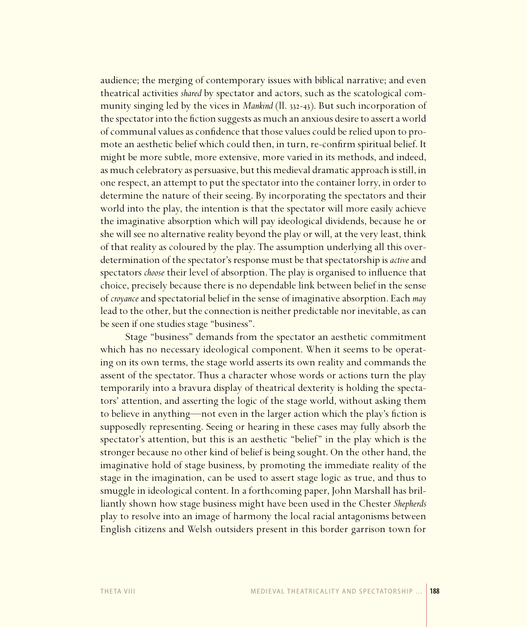audience; the merging of contemporary issues with biblical narrative; and even theatrical activities *shared* by spectator and actors, such as the scatological community singing led by the vices in *Mankind* (ll. 332-43). But such incorporation of the spectator into the fiction suggests as much an anxious desire to assert a world of communal values as confidence that those values could be relied upon to promote an aesthetic belief which could then, in turn, re-confirm spiritual belief. It might be more subtle, more extensive, more varied in its methods, and indeed, as much celebratory as persuasive, but this medieval dramatic approach is still, in one respect, an attempt to put the spectator into the container lorry, in order to determine the nature of their seeing. By incorporating the spectators and their world into the play, the intention is that the spectator will more easily achieve the imaginative absorption which will pay ideological dividends, because he or she will see no alternative reality beyond the play or will, at the very least, think of that reality as coloured by the play. The assumption underlying all this overdetermination of the spectator's response must be that spectatorship is *active* and spectators *choose* their level of absorption. The play is organised to influence that choice, precisely because there is no dependable link between belief in the sense of *croyance* and spectatorial belief in the sense of imaginative absorption. Each *may* lead to the other, but the connection is neither predictable nor inevitable, as can be seen if one studies stage "business".

Stage "business" demands from the spectator an aesthetic commitment which has no necessary ideological component. When it seems to be operating on its own terms, the stage world asserts its own reality and commands the assent of the spectator. Thus a character whose words or actions turn the play temporarily into a bravura display of theatrical dexterity is holding the spectators' attention, and asserting the logic of the stage world, without asking them to believe in anything—not even in the larger action which the play's fiction is supposedly representing. Seeing or hearing in these cases may fully absorb the spectator's attention, but this is an aesthetic "belief" in the play which is the stronger because no other kind of belief is being sought. On the other hand, the imaginative hold of stage business, by promoting the immediate reality of the stage in the imagination, can be used to assert stage logic as true, and thus to smuggle in ideological content. In a forthcoming paper, John Marshall has brilliantly shown how stage business might have been used in the Chester *Shepherds* play to resolve into an image of harmony the local racial antagonisms between English citizens and Welsh outsiders present in this border garrison town for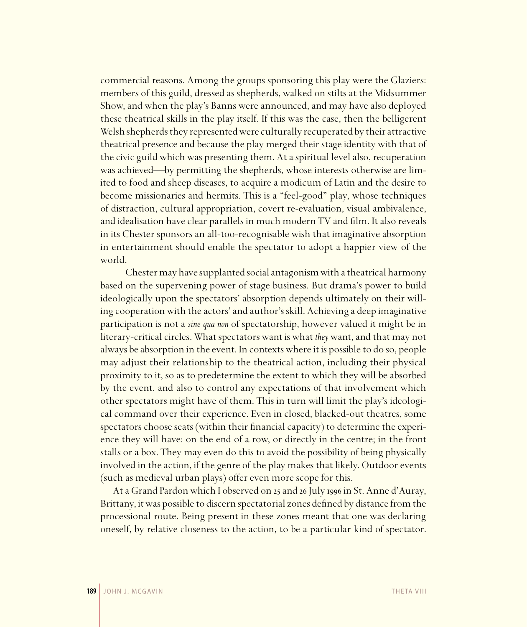commercial reasons. Among the groups sponsoring this play were the Glaziers: members of this guild, dressed as shepherds, walked on stilts at the Midsummer Show, and when the play's Banns were announced, and may have also deployed these theatrical skills in the play itself. If this was the case, then the belligerent Welsh shepherds they represented were culturally recuperated by their attractive theatrical presence and because the play merged their stage identity with that of the civic guild which was presenting them. At a spiritual level also, recuperation was achieved—by permitting the shepherds, whose interests otherwise are limited to food and sheep diseases, to acquire a modicum of Latin and the desire to become missionaries and hermits. This is a "feel-good" play, whose techniques of distraction, cultural appropriation, covert re-evaluation, visual ambivalence, and idealisation have clear parallels in much modern TV and film. It also reveals in its Chester sponsors an all-too-recognisable wish that imaginative absorption in entertainment should enable the spectator to adopt a happier view of the world.

Chester may have supplanted social antagonism with a theatrical harmony based on the supervening power of stage business. But drama's power to build ideologically upon the spectators' absorption depends ultimately on their willing cooperation with the actors' and author's skill. Achieving a deep imaginative participation is not a *sine qua non* of spectatorship, however valued it might be in literary-critical circles. What spectators want is what *they* want, and that may not always be absorption in the event. In contexts where it is possible to do so, people may adjust their relationship to the theatrical action, including their physical proximity to it, so as to predetermine the extent to which they will be absorbed by the event, and also to control any expectations of that involvement which other spectators might have of them. This in turn will limit the play's ideological command over their experience. Even in closed, blacked-out theatres, some spectators choose seats (within their financial capacity) to determine the experience they will have: on the end of a row, or directly in the centre; in the front stalls or a box. They may even do this to avoid the possibility of being physically involved in the action, if the genre of the play makes that likely. Outdoor events (such as medieval urban plays) offer even more scope for this.

At a Grand Pardon which I observed on 25 and 26 July 1996 in St. Anne d'Auray, Brittany, it was possible to discern spectatorial zones defined by distance from the processional route. Being present in these zones meant that one was declaring oneself, by relative closeness to the action, to be a particular kind of spectator.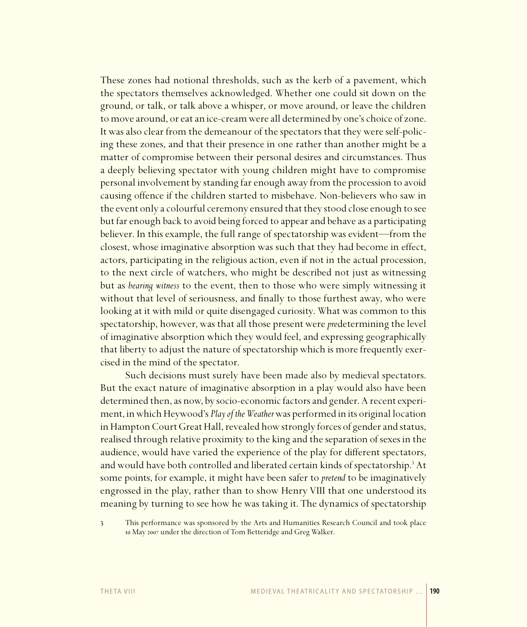These zones had notional thresholds, such as the kerb of a pavement, which the spectators themselves acknowledged. Whether one could sit down on the ground, or talk, or talk above a whisper, or move around, or leave the children to move around, or eat an ice-cream were all determined by one's choice of zone. It was also clear from the demeanour of the spectators that they were self-policing these zones, and that their presence in one rather than another might be a matter of compromise between their personal desires and circumstances. Thus a deeply believing spectator with young children might have to compromise personal involvement by standing far enough away from the procession to avoid causing offence if the children started to misbehave. Non-believers who saw in the event only a colourful ceremony ensured that they stood close enough to see but far enough back to avoid being forced to appear and behave as a participating believer. In this example, the full range of spectatorship was evident—from the closest, whose imaginative absorption was such that they had become in effect, actors, participating in the religious action, even if not in the actual procession, to the next circle of watchers, who might be described not just as witnessing but as *bearing witness* to the event, then to those who were simply witnessing it without that level of seriousness, and finally to those furthest away, who were looking at it with mild or quite disengaged curiosity. What was common to this spectatorship, however, was that all those present were *pre*determining the level of imaginative absorption which they would feel, and expressing geographically that liberty to adjust the nature of spectatorship which is more frequently exercised in the mind of the spectator.

Such decisions must surely have been made also by medieval spectators. But the exact nature of imaginative absorption in a play would also have been determined then, as now, by socio-economic factors and gender. A recent experiment, in which Heywood's *Play of the Weather* was performed in its original location in Hampton Court Great Hall, revealed how strongly forces of gender and status, realised through relative proximity to the king and the separation of sexes in the audience, would have varied the experience of the play for different spectators, and would have both controlled and liberated certain kinds of spectatorship.<sup>3</sup> At some points, for example, it might have been safer to *pretend* to be imaginatively engrossed in the play, rather than to show Henry VIII that one understood its meaning by turning to see how he was taking it. The dynamics of spectatorship

3 This performance was sponsored by the Arts and Humanities Research Council and took place 10 May 2007 under the direction of Tom Betteridge and Greg Walker.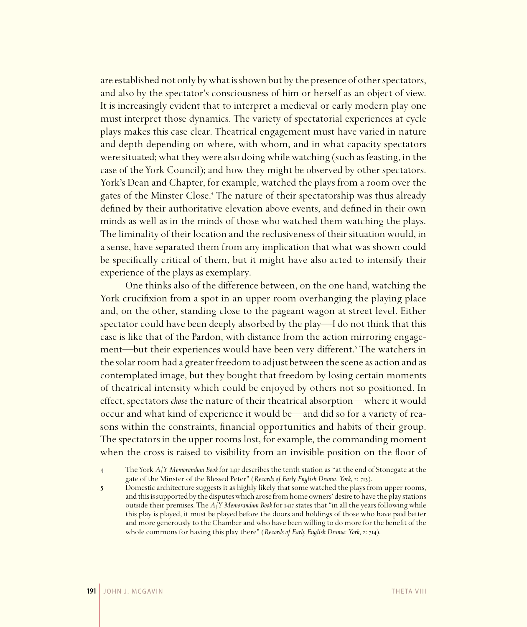are established not only by what is shown but by the presence of other spectators, and also by the spectator's consciousness of him or herself as an object of view. It is increasingly evident that to interpret a medieval or early modern play one must interpret those dynamics. The variety of spectatorial experiences at cycle plays makes this case clear. Theatrical engagement must have varied in nature and depth depending on where, with whom, and in what capacity spectators were situated; what they were also doing while watching (such as feasting, in the case of the York Council); and how they might be observed by other spectators. York's Dean and Chapter, for example, watched the plays from a room over the gates of the Minster Close.<sup>4</sup> The nature of their spectatorship was thus already defined by their authoritative elevation above events, and defined in their own minds as well as in the minds of those who watched them watching the plays. The liminality of their location and the reclusiveness of their situation would, in a sense, have separated them from any implication that what was shown could be specifically critical of them, but it might have also acted to intensify their experience of the plays as exemplary.

One thinks also of the difference between, on the one hand, watching the York crucifixion from a spot in an upper room overhanging the playing place and, on the other, standing close to the pageant wagon at street level. Either spectator could have been deeply absorbed by the play—I do not think that this case is like that of the Pardon, with distance from the action mirroring engagement—but their experiences would have been very different.<sup>5</sup> The watchers in the solar room had a greater freedom to adjust between the scene as action and as contemplated image, but they bought that freedom by losing certain moments of theatrical intensity which could be enjoyed by others not so positioned. In effect, spectators *chose* the nature of their theatrical absorption—where it would occur and what kind of experience it would be—and did so for a variety of reasons within the constraints, financial opportunities and habits of their group. The spectators in the upper rooms lost, for example, the commanding moment when the cross is raised to visibility from an invisible position on the floor of

5 Domestic architecture suggests it as highly likely that some watched the plays from upper rooms, and this is supported by the disputes which arose from home owners' desire to have the play stations outside their premises. The  $A/Y$  Memorandum Book for 1417 states that "in all the years following while this play is played, it must be played before the doors and holdings of those who have paid better and more generously to the Chamber and who have been willing to do more for the benefit of the whole commons for having this play there" (*Records of Early English Drama: York*, 2: 714).

<sup>4</sup> The York *A/Y Memorandum Book* for 1417 describes the tenth station as "at the end of Stonegate at the gate of the Minster of the Blessed Peter" (*Records of Early English Drama: York*, 2: 713).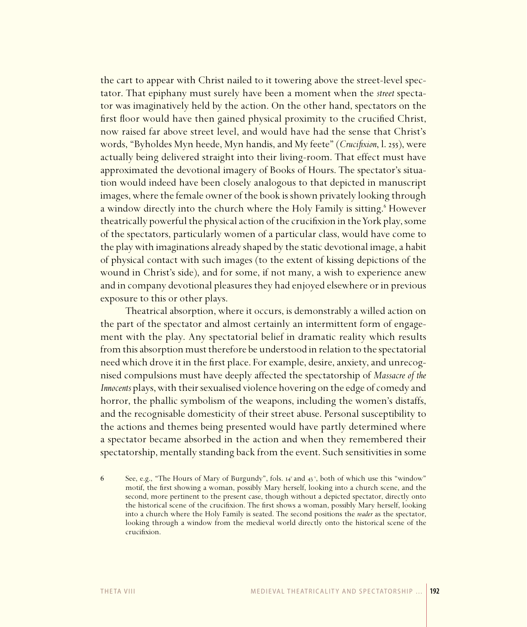the cart to appear with Christ nailed to it towering above the street-level spectator. That epiphany must surely have been a moment when the *street* spectator was imaginatively held by the action. On the other hand, spectators on the first floor would have then gained physical proximity to the crucified Christ, now raised far above street level, and would have had the sense that Christ's words, "Byholdes Myn heede, Myn handis, and My feete" (*Crucifixion*, l. 255), were actually being delivered straight into their living-room. That effect must have approximated the devotional imagery of Books of Hours. The spectator's situation would indeed have been closely analogous to that depicted in manuscript images, where the female owner of the book is shown privately looking through a window directly into the church where the Holy Family is sitting.<sup>6</sup> However theatrically powerful the physical action of the crucifixion in the York play, some of the spectators, particularly women of a particular class, would have come to the play with imaginations already shaped by the static devotional image, a habit of physical contact with such images (to the extent of kissing depictions of the wound in Christ's side), and for some, if not many, a wish to experience anew and in company devotional pleasures they had enjoyed elsewhere or in previous exposure to this or other plays.

Theatrical absorption, where it occurs, is demonstrably a willed action on the part of the spectator and almost certainly an intermittent form of engagement with the play. Any spectatorial belief in dramatic reality which results from this absorption must therefore be understood in relation to the spectatorial need which drove it in the first place. For example, desire, anxiety, and unrecognised compulsions must have deeply affected the spectatorship of *Massacre of the Innocents* plays, with their sexualised violence hovering on the edge of comedy and horror, the phallic symbolism of the weapons, including the women's distaffs, and the recognisable domesticity of their street abuse. Personal susceptibility to the actions and themes being presented would have partly determined where a spectator became absorbed in the action and when they remembered their spectatorship, mentally standing back from the event. Such sensitivities in some

<sup>6</sup> See, e.g., "The Hours of Mary of Burgundy", fols.  $I_4^{\nu}$  and  $I_3^{\nu}$ , both of which use this "window" motif, the first showing a woman, possibly Mary herself, looking into a church scene, and the second, more pertinent to the present case, though without a depicted spectator, directly onto the historical scene of the crucifixion. The first shows a woman, possibly Mary herself, looking into a church where the Holy Family is seated. The second positions the *reader* as the spectator, looking through a window from the medieval world directly onto the historical scene of the crucifixion.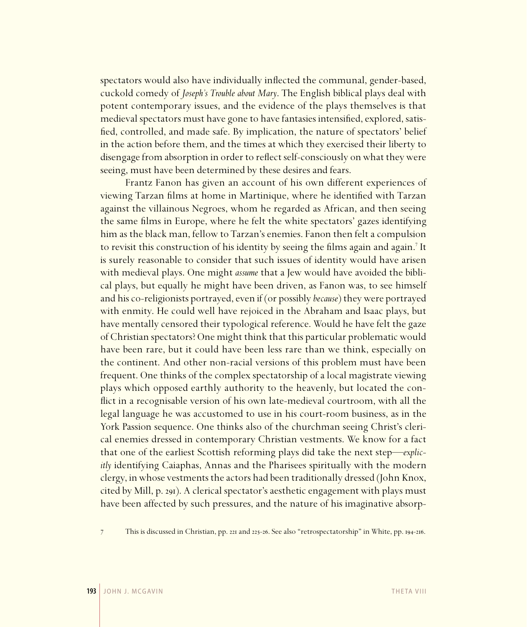spectators would also have individually inflected the communal, gender-based, cuckold comedy of *Joseph's Trouble about Mary*. The English biblical plays deal with potent contemporary issues, and the evidence of the plays themselves is that medieval spectators must have gone to have fantasies intensified, explored, satisfied, controlled, and made safe. By implication, the nature of spectators' belief in the action before them, and the times at which they exercised their liberty to disengage from absorption in order to reflect self-consciously on what they were seeing, must have been determined by these desires and fears.

Frantz Fanon has given an account of his own different experiences of viewing Tarzan films at home in Martinique, where he identified with Tarzan against the villainous Negroes, whom he regarded as African, and then seeing the same films in Europe, where he felt the white spectators' gazes identifying him as the black man, fellow to Tarzan's enemies. Fanon then felt a compulsion to revisit this construction of his identity by seeing the films again and again.<sup>7</sup> It is surely reasonable to consider that such issues of identity would have arisen with medieval plays. One might *assume* that a Jew would have avoided the biblical plays, but equally he might have been driven, as Fanon was, to see himself and his co-religionists portrayed, even if (or possibly *because*) they were portrayed with enmity. He could well have rejoiced in the Abraham and Isaac plays, but have mentally censored their typological reference. Would he have felt the gaze of Christian spectators? One might think that this particular problematic would have been rare, but it could have been less rare than we think, especially on the continent. And other non-racial versions of this problem must have been frequent. One thinks of the complex spectatorship of a local magistrate viewing plays which opposed earthly authority to the heavenly, but located the conflict in a recognisable version of his own late-medieval courtroom, with all the legal language he was accustomed to use in his court-room business, as in the York Passion sequence. One thinks also of the churchman seeing Christ's clerical enemies dressed in contemporary Christian vestments. We know for a fact that one of the earliest Scottish reforming plays did take the next step—*explicitly* identifying Caiaphas, Annas and the Pharisees spiritually with the modern clergy, in whose vestments the actors had been traditionally dressed (John Knox, cited by Mill, p. 291). A clerical spectator's aesthetic engagement with plays must have been affected by such pressures, and the nature of his imaginative absorp-

<sup>7</sup> This is discussed in Christian, pp. 221 and 225-26. See also "retrospectatorship" in White, pp. 194-216.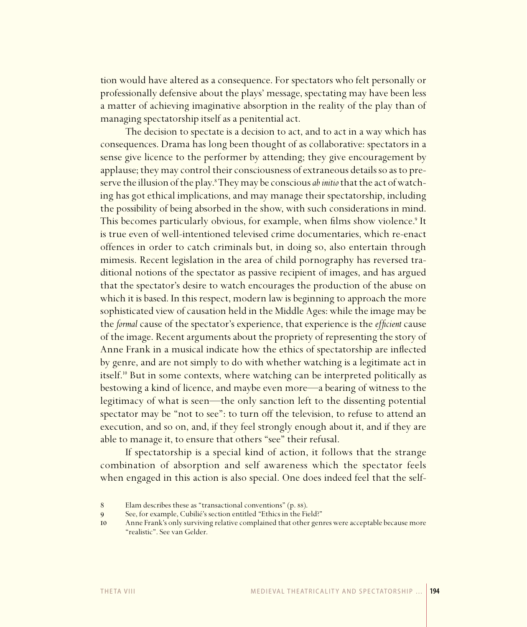tion would have altered as a consequence. For spectators who felt personally or professionally defensive about the plays' message, spectating may have been less a matter of achieving imaginative absorption in the reality of the play than of managing spectatorship itself as a penitential act.

The decision to spectate is a decision to act, and to act in a way which has consequences. Drama has long been thought of as collaborative: spectators in a sense give licence to the performer by attending; they give encouragement by applause; they may control their consciousness of extraneous details so as to preserve the illusion of the play.<sup>8</sup>They may be conscious *ab initio* that the act of watching has got ethical implications, and may manage their spectatorship, including the possibility of being absorbed in the show, with such considerations in mind. This becomes particularly obvious, for example, when films show violence.<sup>9</sup> It is true even of well-intentioned televised crime documentaries, which re-enact offences in order to catch criminals but, in doing so, also entertain through mimesis. Recent legislation in the area of child pornography has reversed traditional notions of the spectator as passive recipient of images, and has argued that the spectator's desire to watch encourages the production of the abuse on which it is based. In this respect, modern law is beginning to approach the more sophisticated view of causation held in the Middle Ages: while the image may be the *formal* cause of the spectator's experience, that experience is the *efficient* cause of the image. Recent arguments about the propriety of representing the story of Anne Frank in a musical indicate how the ethics of spectatorship are inflected by genre, and are not simply to do with whether watching is a legitimate act in itself.<sup>10</sup> But in some contexts, where watching can be interpreted politically as bestowing a kind of licence, and maybe even more—a bearing of witness to the legitimacy of what is seen—the only sanction left to the dissenting potential spectator may be "not to see": to turn off the television, to refuse to attend an execution, and so on, and, if they feel strongly enough about it, and if they are able to manage it, to ensure that others "see" their refusal.

If spectatorship is a special kind of action, it follows that the strange combination of absorption and self awareness which the spectator feels when engaged in this action is also special. One does indeed feel that the self-

<sup>8</sup> Elam describes these as "transactional conventions" (p. 88).

See, for example, Cubilié's section entitled "Ethics in the Field?"

<sup>10</sup> Anne Frank's only surviving relative complained that other genres were acceptable because more "realistic". See van Gelder.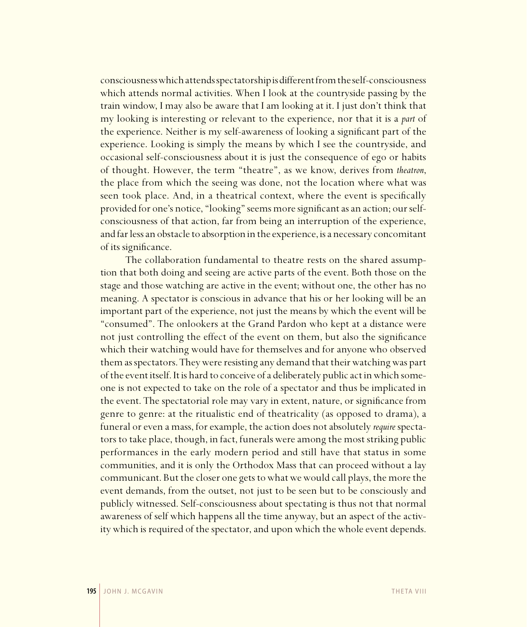consciousness which attends spectatorship is different from the self-consciousness which attends normal activities. When I look at the countryside passing by the train window, I may also be aware that I am looking at it. I just don't think that my looking is interesting or relevant to the experience, nor that it is a *part* of the experience. Neither is my self-awareness of looking a significant part of the experience. Looking is simply the means by which I see the countryside, and occasional self-consciousness about it is just the consequence of ego or habits of thought. However, the term "theatre", as we know, derives from *theatron*, the place from which the seeing was done, not the location where what was seen took place. And, in a theatrical context, where the event is specifically provided for one's notice, "looking" seems more significant as an action; our selfconsciousness of that action, far from being an interruption of the experience, and far less an obstacle to absorption in the experience, is a necessary concomitant of its significance.

The collaboration fundamental to theatre rests on the shared assumption that both doing and seeing are active parts of the event. Both those on the stage and those watching are active in the event; without one, the other has no meaning. A spectator is conscious in advance that his or her looking will be an important part of the experience, not just the means by which the event will be "consumed". The onlookers at the Grand Pardon who kept at a distance were not just controlling the effect of the event on them, but also the significance which their watching would have for themselves and for anyone who observed them as spectators. They were resisting any demand that their watching was part of the event itself. It is hard to conceive of a deliberately public act in which someone is not expected to take on the role of a spectator and thus be implicated in the event. The spectatorial role may vary in extent, nature, or significance from genre to genre: at the ritualistic end of theatricality (as opposed to drama), a funeral or even a mass, for example, the action does not absolutely *require* spectators to take place, though, in fact, funerals were among the most striking public performances in the early modern period and still have that status in some communities, and it is only the Orthodox Mass that can proceed without a lay communicant. But the closer one gets to what we would call plays, the more the event demands, from the outset, not just to be seen but to be consciously and publicly witnessed. Self-consciousness about spectating is thus not that normal awareness of self which happens all the time anyway, but an aspect of the activity which is required of the spectator, and upon which the whole event depends.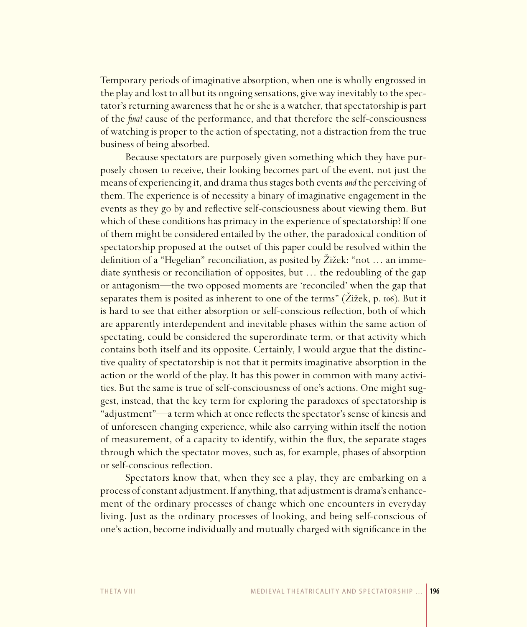Temporary periods of imaginative absorption, when one is wholly engrossed in the play and lost to all but its ongoing sensations, give way inevitably to the spectator's returning awareness that he or she is a watcher, that spectatorship is part of the *final* cause of the performance, and that therefore the self-consciousness of watching is proper to the action of spectating, not a distraction from the true business of being absorbed.

Because spectators are purposely given something which they have purposely chosen to receive, their looking becomes part of the event, not just the means of experiencing it, and drama thus stages both events *and* the perceiving of them. The experience is of necessity a binary of imaginative engagement in the events as they go by and reflective self-consciousness about viewing them. But which of these conditions has primacy in the experience of spectatorship? If one of them might be considered entailed by the other, the paradoxical condition of spectatorship proposed at the outset of this paper could be resolved within the definition of a "Hegelian" reconciliation, as posited by Žižek: "not … an immediate synthesis or reconciliation of opposites, but … the redoubling of the gap or antagonism—the two opposed moments are 'reconciled' when the gap that separates them is posited as inherent to one of the terms" (Žižek, p. 106). But it is hard to see that either absorption or self-conscious reflection, both of which are apparently interdependent and inevitable phases within the same action of spectating, could be considered the superordinate term, or that activity which contains both itself and its opposite. Certainly, I would argue that the distinctive quality of spectatorship is not that it permits imaginative absorption in the action or the world of the play. It has this power in common with many activities. But the same is true of self-consciousness of one's actions. One might suggest, instead, that the key term for exploring the paradoxes of spectatorship is "adjustment"—a term which at once reflects the spectator's sense of kinesis and of unforeseen changing experience, while also carrying within itself the notion of measurement, of a capacity to identify, within the flux, the separate stages through which the spectator moves, such as, for example, phases of absorption or self-conscious reflection.

Spectators know that, when they see a play, they are embarking on a process of constant adjustment. If anything, that adjustment is drama's enhancement of the ordinary processes of change which one encounters in everyday living. Just as the ordinary processes of looking, and being self-conscious of one's action, become individually and mutually charged with significance in the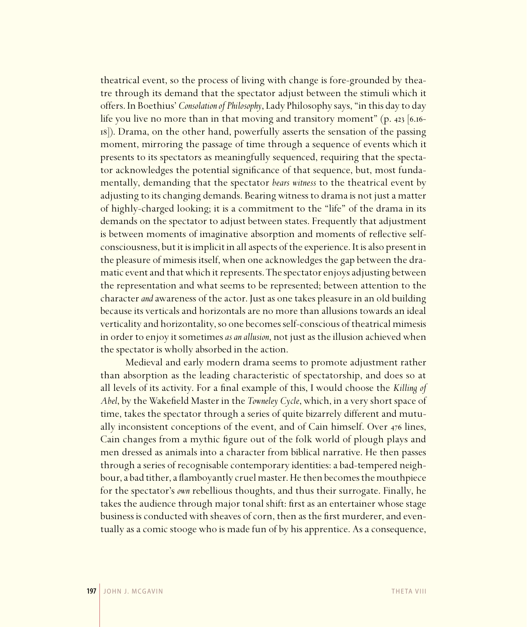theatrical event, so the process of living with change is fore-grounded by theatre through its demand that the spectator adjust between the stimuli which it offers. In Boethius' *Consolation of Philosophy*, Lady Philosophy says, "in this day to day life you live no more than in that moving and transitory moment"  $(p. 423 \mid 6.16-$ 18]). Drama, on the other hand, powerfully asserts the sensation of the passing moment, mirroring the passage of time through a sequence of events which it presents to its spectators as meaningfully sequenced, requiring that the spectator acknowledges the potential significance of that sequence, but, most fundamentally, demanding that the spectator *bears witness* to the theatrical event by adjusting to its changing demands. Bearing witness to drama is not just a matter of highly-charged looking; it is a commitment to the "life" of the drama in its demands on the spectator to adjust between states. Frequently that adjustment is between moments of imaginative absorption and moments of reflective selfconsciousness, but it is implicit in all aspects of the experience. It is also present in the pleasure of mimesis itself, when one acknowledges the gap between the dramatic event and that which it represents. The spectator enjoys adjusting between the representation and what seems to be represented; between attention to the character *and* awareness of the actor. Just as one takes pleasure in an old building because its verticals and horizontals are no more than allusions towards an ideal verticality and horizontality, so one becomes self-conscious of theatrical mimesis in order to enjoy it sometimes *as an allusion*, not just as the illusion achieved when the spectator is wholly absorbed in the action.

Medieval and early modern drama seems to promote adjustment rather than absorption as the leading characteristic of spectatorship, and does so at all levels of its activity. For a final example of this, I would choose the *Killing of Abel*, by the Wakefield Master in the *Towneley Cycle*, which, in a very short space of time, takes the spectator through a series of quite bizarrely different and mutually inconsistent conceptions of the event, and of Cain himself. Over 476 lines, Cain changes from a mythic figure out of the folk world of plough plays and men dressed as animals into a character from biblical narrative. He then passes through a series of recognisable contemporary identities: a bad-tempered neighbour, a bad tither, a flamboyantly cruel master. He then becomes the mouthpiece for the spectator's *own* rebellious thoughts, and thus their surrogate. Finally, he takes the audience through major tonal shift: first as an entertainer whose stage business is conducted with sheaves of corn, then as the first murderer, and eventually as a comic stooge who is made fun of by his apprentice. As a consequence,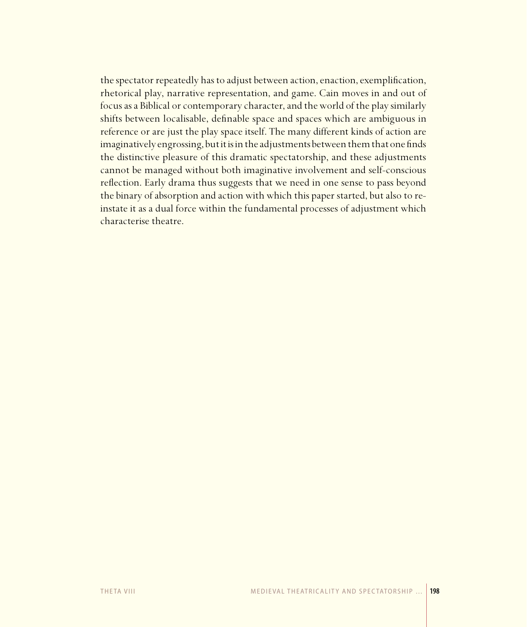the spectator repeatedly has to adjust between action, enaction, exemplification, rhetorical play, narrative representation, and game. Cain moves in and out of focus as a Biblical or contemporary character, and the world of the play similarly shifts between localisable, definable space and spaces which are ambiguous in reference or are just the play space itself. The many different kinds of action are imaginatively engrossing, but it is in the adjustments between them that one finds the distinctive pleasure of this dramatic spectatorship, and these adjustments cannot be managed without both imaginative involvement and self-conscious reflection. Early drama thus suggests that we need in one sense to pass beyond the binary of absorption and action with which this paper started, but also to reinstate it as a dual force within the fundamental processes of adjustment which characterise theatre.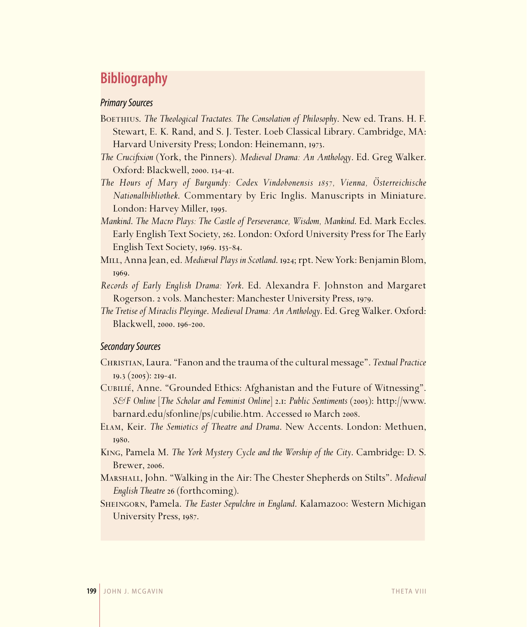## **Bibliography**

#### *Primary Sources*

- BOETHIUS. *The Theological Tractates. The Consolation of Philosophy*. New ed. Trans. H. F. Stewart, E. K. Rand, and S. J. Tester. Loeb Classical Library. Cambridge, MA: Harvard University Press; London: Heinemann, 1973.
- *The Crucifixion* (York, the Pinners). *Medieval Drama: An Anthology*. Ed. Greg Walker. Oxford: Blackwell, 2000. 134-41.
- *The Hours of Mary of Burgundy: Codex Vindobonensis 1857, Vienna, Österreichische Nationalbibliothek*. Commentary by Eric Inglis. Manuscripts in Miniature. London: Harvey Miller, 1995.
- *Mankind*. *The Macro Plays: The Castle of Perseverance, Wisdom, Mankind*. Ed. Mark Eccles. Early English Text Society, 262. London: Oxford University Press for The Early English Text Society, 1969. 153-84.
- Mill, Anna Jean, ed. *Mediæval Plays in Scotland*. 1924; rpt. New York: Benjamin Blom, 1969.
- *Records of Early English Drama: York*. Ed. Alexandra F. Johnston and Margaret Rogerson. 2 vols. Manchester: Manchester University Press, 1979.
- *The Tretise of Miraclis Pleyinge*. *Medieval Drama: An Anthology*. Ed. Greg Walker. Oxford: Blackwell, 2000. 196-200.

### *Secondary Sources*

- Christian, Laura. "Fanon and the trauma of the cultural message". *Textual Practice* 19.3 (2005): 219-41.
- Cubilié, Anne. "Grounded Ethics: Afghanistan and the Future of Witnessing". *S&F Online* [*The Scholar and Feminist Online*] 2.1: *Public Sentiments* (2003): http://www. barnard.edu/sfonline/ps/cubilie.htm. Accessed 10 March 2008.
- Elam, Keir. *The Semiotics of Theatre and Drama*. New Accents. London: Methuen, 1980.
- King, Pamela M. *The York Mystery Cycle and the Worship of the City*. Cambridge: D. S. Brewer, 2006.
- Marshall, John. "Walking in the Air: The Chester Shepherds on Stilts". *Medieval English Theatre* 26 (forthcoming).
- Sheingorn, Pamela. *The Easter Sepulchre in England*. Kalamazoo: Western Michigan University Press, 1987.